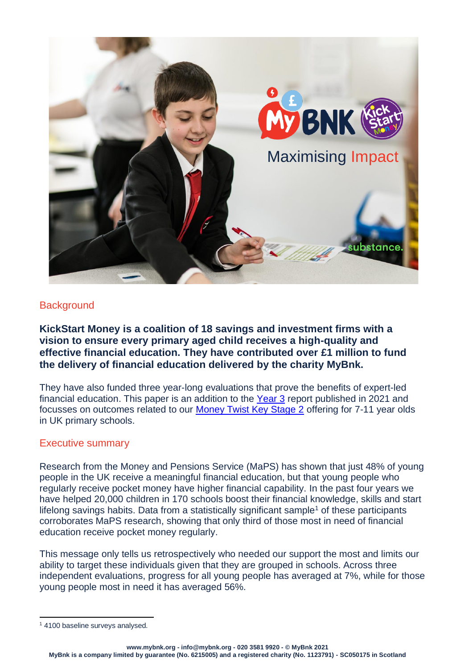

## **Background**

**KickStart Money is a coalition of 18 savings and investment firms with a vision to ensure every primary aged child receives a high-quality and effective financial education. They have contributed over £1 million to fund the delivery of financial education delivered by the charity MyBnk.** 

They have also funded three year-long evaluations that prove the benefits of expert-led financial education. This paper is an addition to the [Year 3](https://www.mybnk.org/latest-news/overcoming-uk-childrens-low-financial-capability-new-report/) report published in 2021 and focusses on outcomes related to our [Money Twist Key Stage 2](https://www.mybnk.org/our-work/financial-education/money-twist-lower-ks2/) offering for 7-11 year olds in UK primary schools.

## Executive summary

Research from the Money and Pensions Service (MaPS) has shown that just 48% of young people in the UK receive a meaningful financial education, but that young people who regularly receive pocket money have higher financial capability. In the past four years we have helped 20,000 children in 170 schools boost their financial knowledge, skills and start lifelong savings habits. Data from a statistically significant sample<sup>1</sup> of these participants corroborates MaPS research, showing that only third of those most in need of financial education receive pocket money regularly.

This message only tells us retrospectively who needed our support the most and limits our ability to target these individuals given that they are grouped in schools. Across three independent evaluations, progress for all young people has averaged at 7%, while for those young people most in need it has averaged 56%.

<sup>&</sup>lt;sup>1</sup> 4100 baseline surveys analysed.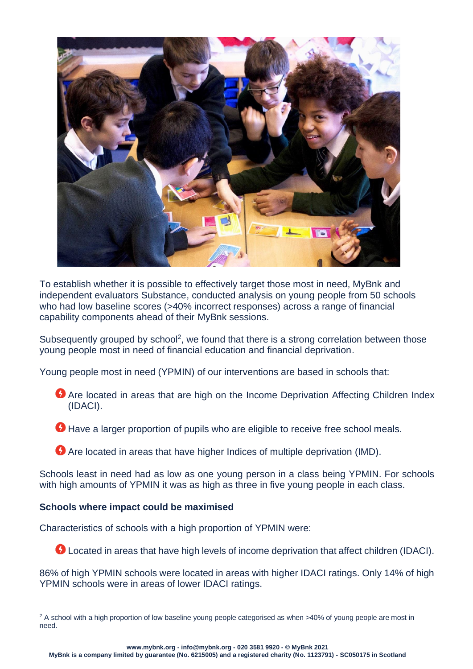

To establish whether it is possible to effectively target those most in need, MyBnk and independent evaluators Substance, conducted analysis on young people from 50 schools who had low baseline scores (>40% incorrect responses) across a range of financial capability components ahead of their MyBnk sessions.

Subsequently grouped by school<sup>2</sup>, we found that there is a strong correlation between those young people most in need of financial education and financial deprivation.

Young people most in need (YPMIN) of our interventions are based in schools that:

- **Are located in areas that are high on the Income Deprivation Affecting Children Index** (IDACI).
- Have a larger proportion of pupils who are eligible to receive free school meals.
- Are located in areas that have higher Indices of multiple deprivation (IMD).

Schools least in need had as low as one young person in a class being YPMIN. For schools with high amounts of YPMIN it was as high as three in five young people in each class.

### **Schools where impact could be maximised**

Characteristics of schools with a high proportion of YPMIN were:

**O** Located in areas that have high levels of income deprivation that affect children (IDACI).

86% of high YPMIN schools were located in areas with higher IDACI ratings. Only 14% of high YPMIN schools were in areas of lower IDACI ratings.

**www.mybnk.org - info@mybnk.org - 020 3581 9920 - © MyBnk 2021**

<sup>&</sup>lt;sup>2</sup> A school with a high proportion of low baseline young people categorised as when >40% of young people are most in need.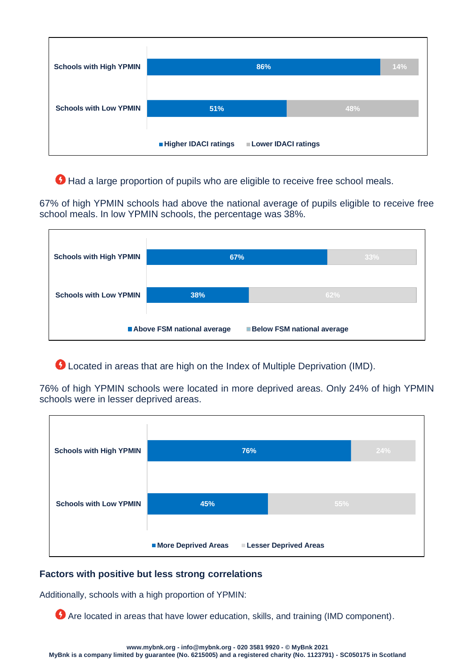| <b>Schools with High YPMIN</b> |                             | 86%                        |     | 14% |
|--------------------------------|-----------------------------|----------------------------|-----|-----|
|                                |                             |                            |     |     |
| <b>Schools with Low YPMIN</b>  | 51%                         |                            | 48% |     |
|                                |                             |                            |     |     |
|                                | <b>Higher IDACI ratings</b> | <b>Lower IDACI ratings</b> |     |     |

Had a large proportion of pupils who are eligible to receive free school meals.

67% of high YPMIN schools had above the national average of pupils eligible to receive free school meals. In low YPMIN schools, the percentage was 38%.

| <b>Schools with High YPMIN</b>    | 67%                        |     | 33% |  |
|-----------------------------------|----------------------------|-----|-----|--|
|                                   |                            |     |     |  |
| <b>Schools with Low YPMIN</b>     | 38%                        | 62% |     |  |
|                                   | Above FSM national average |     |     |  |
| <b>Below FSM national average</b> |                            |     |     |  |

Located in areas that are high on the Index of Multiple Deprivation (IMD).

76% of high YPMIN schools were located in more deprived areas. Only 24% of high YPMIN schools were in lesser deprived areas.

| <b>Schools with High YPMIN</b> |                     | 76%                          | 24% |
|--------------------------------|---------------------|------------------------------|-----|
|                                |                     |                              |     |
| <b>Schools with Low YPMIN</b>  | 45%                 |                              | 55% |
|                                |                     |                              |     |
|                                | More Deprived Areas | <b>Lesser Deprived Areas</b> |     |

# **Factors with positive but less strong correlations**

Additionally, schools with a high proportion of YPMIN:

Are located in areas that have lower education, skills, and training (IMD component).